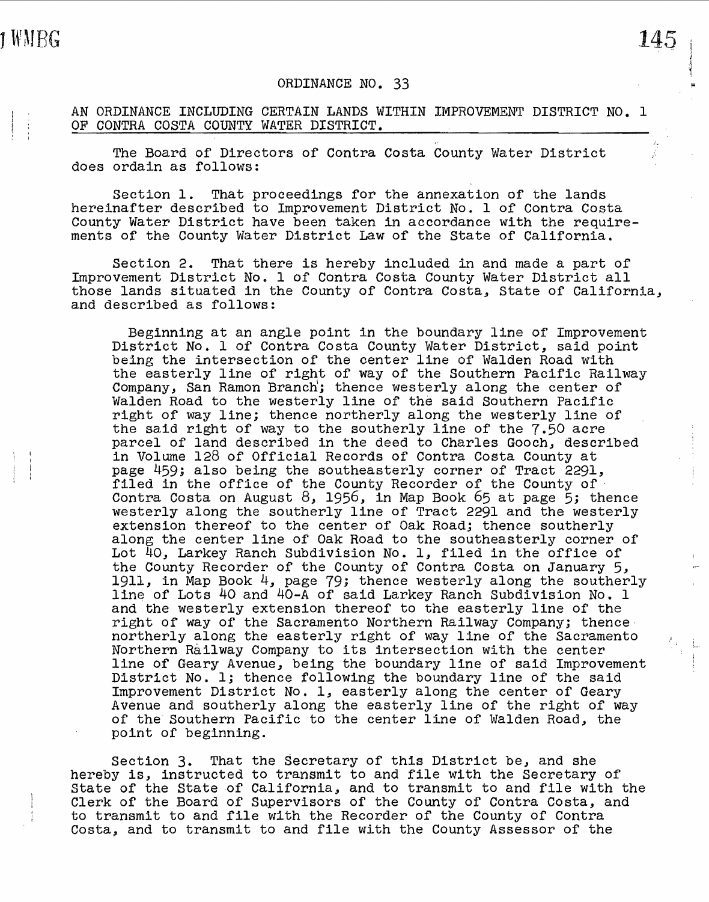## ORDINANCE NO. 33

AN ORDINANCE INCLUDING CERTAIN LANDS WITHIN IMPROVEMENT DISTRICT NO. 1 OF CONTRA COSTA COUNTY WATER DISTRICT.

The Board of Directors of Contra Costa County Water District does ordain as follows:

Section 1. That proceedings for the annexation of the lands hereinafter described to Improvement District No. 1 of Contra Costa County Water District have been taken in accordance with the requirements of the County Water District Law of the State of California ..

Section 2. That there is hereby included in and made a part of Improvement District No. 1 of Contra Costa County Water District all those lands situated in the County of Contra Costa, State of California, and described as follows:

Beginning at an angle point in the boundary line of Improvement District No. 1 of Contra Costa County Water District, said point being the intersection of the center line of Walden Road with the easterly line of right of way of the Southern Pacific Railway Company, San Ramon Branch; thence westerly along the center of Walden Road to the westerly line of the said Southern Pacific right of way line; thence northerly along the westerly line of the said right of way to the southerly line of the 7.50 acre parcel of land described in the deed to Charles Gooch, described in Volwne 128 of Official Records of Contra Costa County at page 459; also being the southeasterly corner of Tract 2291, filed in the office of the County Recorder of the County of· Contra Costa on August 8, 1956, in Map Book 65 at page 5; thence westerly along the southerly line of Tract 2291 and the westerly extension thereof to the center of Oak Road; thence southerly along the center line of Oak Road to the southeasterly corner of Lot  $\overline{40}$ , Larkey Ranch Subdivision No. 1, filed in the office of the County Recorder of the County of Contra Costa on January 5, 1911, in Map Book 4, page 79; thence westerly along the southerly line of Lots 40 and 40-A of said Larkey Ranch Subdivision No. 1 and the westerly extension thereof to the easterly line of the right of way of the Sacramento Northern Railway Company; thence· northerly along the easterly right of way line of the Sacramento Northern Railway Company to its intersection with the center line of Geary Avenue, being the boundary line of said Improvement District No. l; thence following the boundary line of the said Improvement District No. l, easterly along the center of Geary Avenue and southerly along the easterly line of the right of way of the Southern Pacific to the center line of Walden Road, the point of beginning.

Section 3. That the Secretary of this District be, and she hereby is, instructed to transmit to and file with the Secretary of State of the State of California, and to transmit to and file with the Clerk of the Board of Supervisors of the County of Contra Costa, and to transmit to and file with the Recorder of the County of Contra Costa, and to transmit to and file with the County Assessor of the